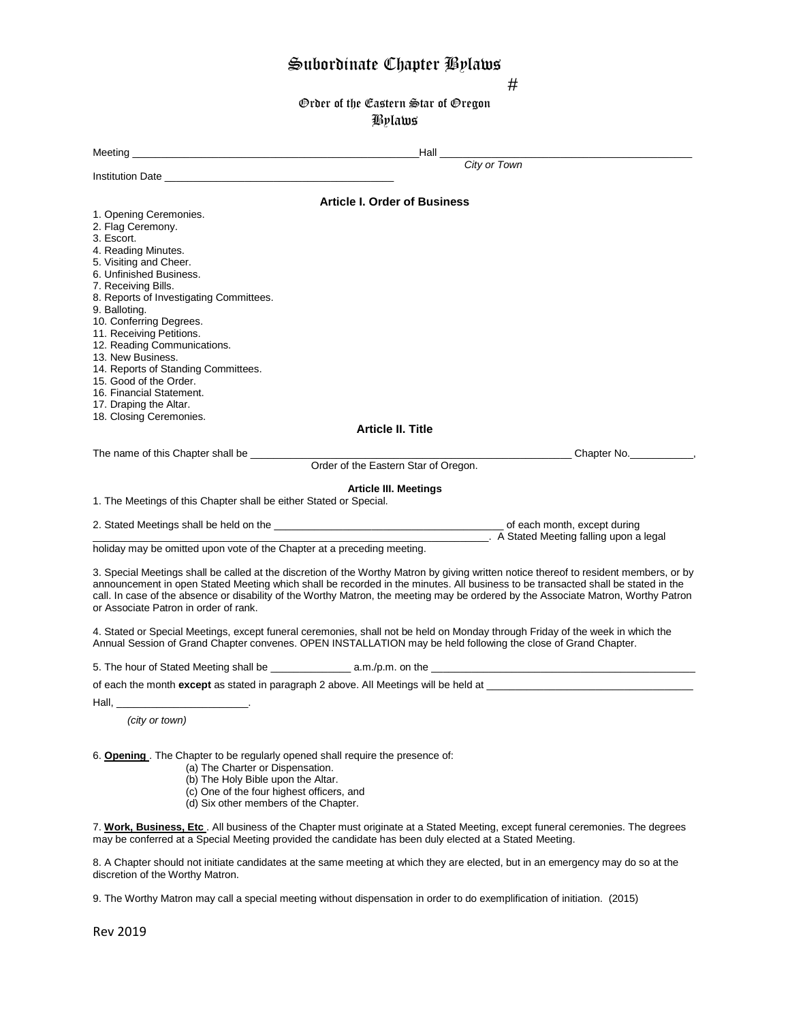# Subordinate Chapter Bylaws

#

Order of the Eastern Star of Oregon Bylaws

| Meeting experience and the contract of the contract of the contract of the contract of the contract of the contract of the contract of the contract of the contract of the contract of the contract of the contract of the con                                                                                                      | $\,$ Hall $\,$                                                                                                                         |
|-------------------------------------------------------------------------------------------------------------------------------------------------------------------------------------------------------------------------------------------------------------------------------------------------------------------------------------|----------------------------------------------------------------------------------------------------------------------------------------|
|                                                                                                                                                                                                                                                                                                                                     | City or Town                                                                                                                           |
| Institution Date <u>experience and the set of the set of the set of the set of the set of the set of the set of the set of the set of the set of the set of the set of the set of the set of the set of the set of the set of th</u>                                                                                                |                                                                                                                                        |
| 1. Opening Ceremonies.<br>2. Flag Ceremony.<br>3. Escort.<br>4. Reading Minutes.<br>5. Visiting and Cheer.<br>6. Unfinished Business.<br>7. Receiving Bills.<br>8. Reports of Investigating Committees.<br>9. Balloting.<br>10. Conferring Degrees.<br>11. Receiving Petitions.<br>12. Reading Communications.<br>13. New Business. | <b>Article I. Order of Business</b>                                                                                                    |
| 14. Reports of Standing Committees.<br>15. Good of the Order.<br>16. Financial Statement.<br>17. Draping the Altar.                                                                                                                                                                                                                 |                                                                                                                                        |
| 18. Closing Ceremonies.                                                                                                                                                                                                                                                                                                             | <b>Article II. Title</b>                                                                                                               |
| The name of this Chapter shall be __________                                                                                                                                                                                                                                                                                        | <b>Chapter No.</b>                                                                                                                     |
|                                                                                                                                                                                                                                                                                                                                     | Order of the Eastern Star of Oregon.                                                                                                   |
| 1. The Meetings of this Chapter shall be either Stated or Special.                                                                                                                                                                                                                                                                  | <b>Article III. Meetings</b>                                                                                                           |
| 2. Stated Meetings shall be held on the <b>end of the contract of the contract of each</b> month, except during                                                                                                                                                                                                                     | A Stated Meeting falling upon a legal                                                                                                  |
| holiday may be omitted upon vote of the Chapter at a preceding meeting.                                                                                                                                                                                                                                                             |                                                                                                                                        |
| announcement in open Stated Meeting which shall be recorded in the minutes. All business to be transacted shall be stated in the<br>call. In case of the absence or disability of the Worthy Matron, the meeting may be ordered by the Associate Matron, Worthy Patron<br>or Associate Patron in order of rank.                     | 3. Special Meetings shall be called at the discretion of the Worthy Matron by giving written notice thereof to resident members, or by |
| 4. Stated or Special Meetings, except funeral ceremonies, shall not be held on Monday through Friday of the week in which the<br>Annual Session of Grand Chapter convenes. OPEN INSTALLATION may be held following the close of Grand Chapter.                                                                                      |                                                                                                                                        |
|                                                                                                                                                                                                                                                                                                                                     |                                                                                                                                        |
| of each the month <b>except</b> as stated in paragraph 2 above. All Meetings will be held at                                                                                                                                                                                                                                        |                                                                                                                                        |
| (city or town)                                                                                                                                                                                                                                                                                                                      |                                                                                                                                        |
| 6. Opening. The Chapter to be regularly opened shall require the presence of:<br>(a) The Charter or Dispensation.<br>(b) The Holy Bible upon the Altar.<br>(c) One of the four highest officers, and<br>(d) Six other members of the Chapter.                                                                                       |                                                                                                                                        |
| 7. Work, Business, Etc. All business of the Chapter must originate at a Stated Meeting, except funeral ceremonies. The degrees<br>may be conferred at a Special Meeting provided the candidate has been duly elected at a Stated Meeting.                                                                                           |                                                                                                                                        |
| 8. A Chapter should not initiate candidates at the same meeting at which they are elected, but in an emergency may do so at the<br>discretion of the Worthy Matron.                                                                                                                                                                 |                                                                                                                                        |
| 9. The Worthy Matron may call a special meeting without dispensation in order to do exemplification of initiation. (2015)                                                                                                                                                                                                           |                                                                                                                                        |

Rev 2019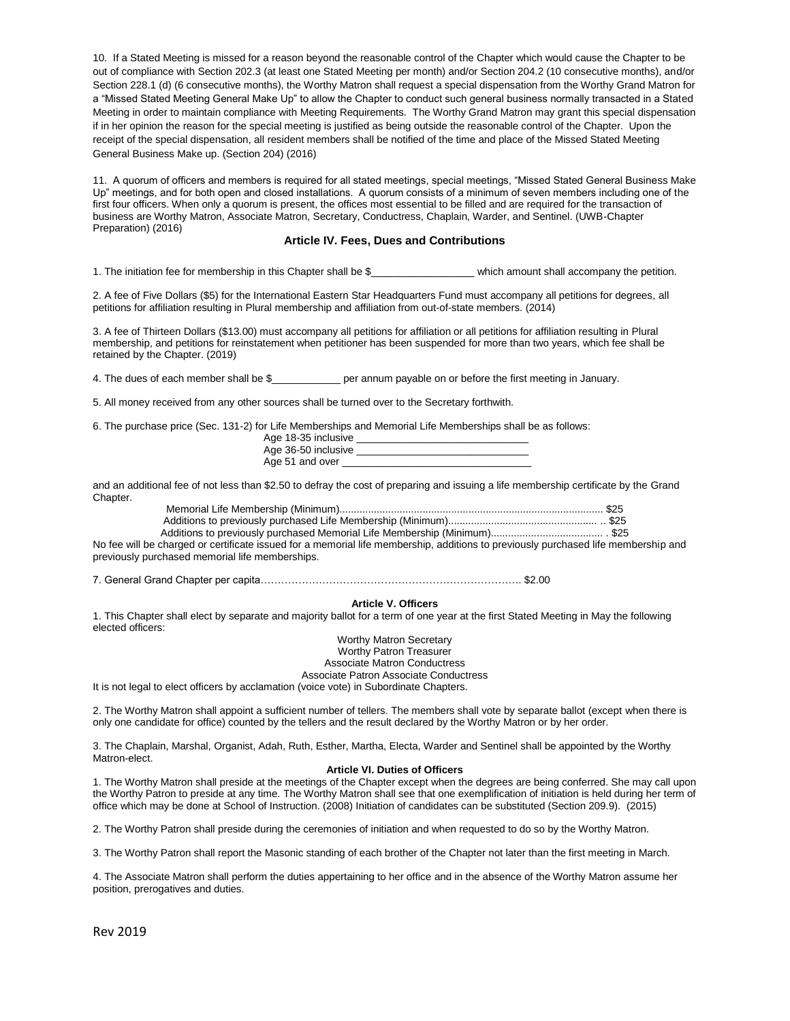10. If a Stated Meeting is missed for a reason beyond the reasonable control of the Chapter which would cause the Chapter to be out of compliance with Section 202.3 (at least one Stated Meeting per month) and/or Section 204.2 (10 consecutive months), and/or Section 228.1 (d) (6 consecutive months), the Worthy Matron shall request a special dispensation from the Worthy Grand Matron for a "Missed Stated Meeting General Make Up" to allow the Chapter to conduct such general business normally transacted in a Stated Meeting in order to maintain compliance with Meeting Requirements. The Worthy Grand Matron may grant this special dispensation if in her opinion the reason for the special meeting is justified as being outside the reasonable control of the Chapter. Upon the receipt of the special dispensation, all resident members shall be notified of the time and place of the Missed Stated Meeting General Business Make up. (Section 204) (2016)

11. A quorum of officers and members is required for all stated meetings, special meetings, "Missed Stated General Business Make Up" meetings, and for both open and closed installations. A quorum consists of a minimum of seven members including one of the first four officers. When only a quorum is present, the offices most essential to be filled and are required for the transaction of business are Worthy Matron, Associate Matron, Secretary, Conductress, Chaplain, Warder, and Sentinel. (UWB-Chapter Preparation) (2016)

## **Article IV. Fees, Dues and Contributions**

1. The initiation fee for membership in this Chapter shall be \$\_\_\_\_\_\_\_\_\_\_\_\_\_\_\_\_\_\_ which amount shall accompany the petition.

2. A fee of Five Dollars (\$5) for the International Eastern Star Headquarters Fund must accompany all petitions for degrees, all petitions for affiliation resulting in Plural membership and affiliation from out-of-state members. (2014)

3. A fee of Thirteen Dollars (\$13.00) must accompany all petitions for affiliation or all petitions for affiliation resulting in Plural membership, and petitions for reinstatement when petitioner has been suspended for more than two years, which fee shall be retained by the Chapter. (2019)

4. The dues of each member shall be \$ per annum payable on or before the first meeting in January.

5. All money received from any other sources shall be turned over to the Secretary forthwith.

6. The purchase price (Sec. 131-2) for Life Memberships and Memorial Life Memberships shall be as follows:

| Age 18-35 inclusive |  |
|---------------------|--|
| Age 36-50 inclusive |  |
| Age 51 and over     |  |

and an additional fee of not less than \$2.50 to defray the cost of preparing and issuing a life membership certificate by the Grand Chapter.

No fee will be charged or certificate issued for a memorial life membership, additions to previously purchased life membership and previously purchased memorial life memberships.

7. General Grand Chapter per capita…………………………………………………………………. \$2.00

# **Article V. Officers**

1. This Chapter shall elect by separate and majority ballot for a term of one year at the first Stated Meeting in May the following elected officers:

> Worthy Matron Secretary Worthy Patron Treasurer Associate Matron Conductress Associate Patron Associate Conductress

It is not legal to elect officers by acclamation (voice vote) in Subordinate Chapters.

2. The Worthy Matron shall appoint a sufficient number of tellers. The members shall vote by separate ballot (except when there is only one candidate for office) counted by the tellers and the result declared by the Worthy Matron or by her order.

3. The Chaplain, Marshal, Organist, Adah, Ruth, Esther, Martha, Electa, Warder and Sentinel shall be appointed by the Worthy Matron-elect.

### **Article VI. Duties of Officers**

1. The Worthy Matron shall preside at the meetings of the Chapter except when the degrees are being conferred. She may call upon the Worthy Patron to preside at any time. The Worthy Matron shall see that one exemplification of initiation is held during her term of office which may be done at School of Instruction. (2008) Initiation of candidates can be substituted (Section 209.9). (2015)

2. The Worthy Patron shall preside during the ceremonies of initiation and when requested to do so by the Worthy Matron.

3. The Worthy Patron shall report the Masonic standing of each brother of the Chapter not later than the first meeting in March.

4. The Associate Matron shall perform the duties appertaining to her office and in the absence of the Worthy Matron assume her position, prerogatives and duties.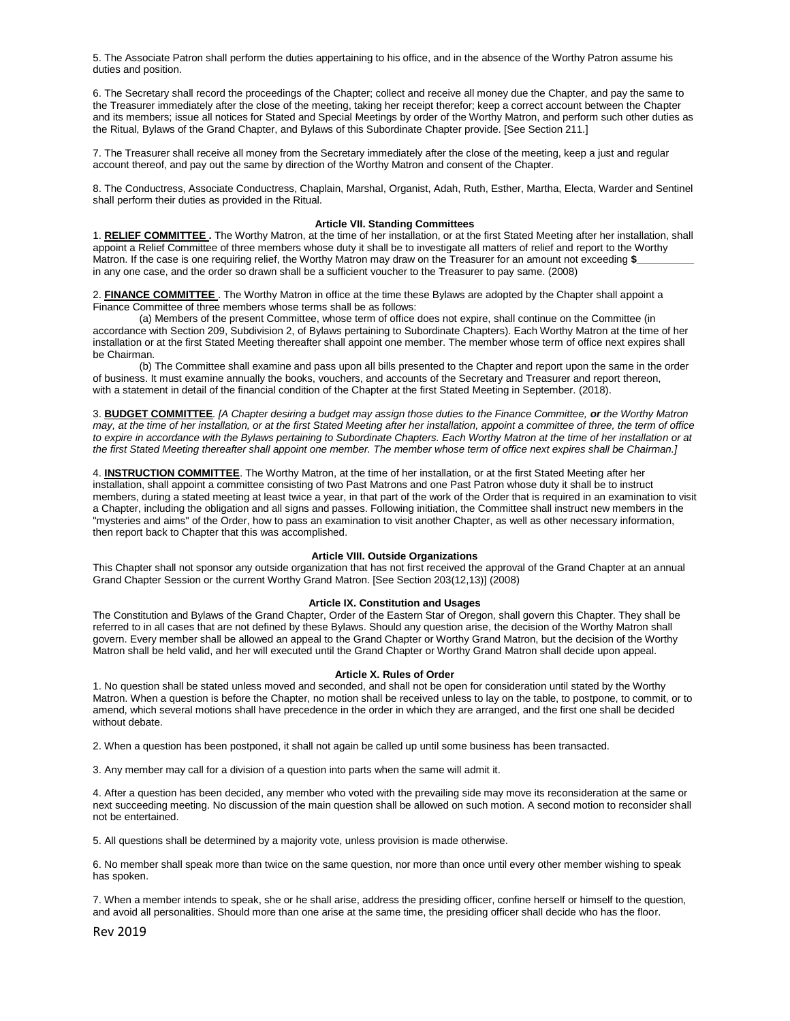5. The Associate Patron shall perform the duties appertaining to his office, and in the absence of the Worthy Patron assume his duties and position.

6. The Secretary shall record the proceedings of the Chapter; collect and receive all money due the Chapter, and pay the same to the Treasurer immediately after the close of the meeting, taking her receipt therefor; keep a correct account between the Chapter and its members; issue all notices for Stated and Special Meetings by order of the Worthy Matron, and perform such other duties as the Ritual, Bylaws of the Grand Chapter, and Bylaws of this Subordinate Chapter provide. [See Section 211.]

7. The Treasurer shall receive all money from the Secretary immediately after the close of the meeting, keep a just and regular account thereof, and pay out the same by direction of the Worthy Matron and consent of the Chapter.

8. The Conductress, Associate Conductress, Chaplain, Marshal, Organist, Adah, Ruth, Esther, Martha, Electa, Warder and Sentinel shall perform their duties as provided in the Ritual.

#### **Article VII. Standing Committees**

1. **RELIEF COMMITTEE .** The Worthy Matron, at the time of her installation, or at the first Stated Meeting after her installation, shall appoint a Relief Committee of three members whose duty it shall be to investigate all matters of relief and report to the Worthy Matron. If the case is one requiring relief, the Worthy Matron may draw on the Treasurer for an amount not exceeding \$\_ in any one case, and the order so drawn shall be a sufficient voucher to the Treasurer to pay same. (2008)

2. **FINANCE COMMITTEE** . The Worthy Matron in office at the time these Bylaws are adopted by the Chapter shall appoint a Finance Committee of three members whose terms shall be as follows:

(a) Members of the present Committee, whose term of office does not expire, shall continue on the Committee (in accordance with Section 209, Subdivision 2, of Bylaws pertaining to Subordinate Chapters). Each Worthy Matron at the time of her installation or at the first Stated Meeting thereafter shall appoint one member. The member whose term of office next expires shall be Chairman.

(b) The Committee shall examine and pass upon all bills presented to the Chapter and report upon the same in the order of business. It must examine annually the books, vouchers, and accounts of the Secretary and Treasurer and report thereon, with a statement in detail of the financial condition of the Chapter at the first Stated Meeting in September. (2018).

3. **BUDGET COMMITTEE***. [A Chapter desiring a budget may assign those duties to the Finance Committee, or the Worthy Matron may, at the time of her installation, or at the first Stated Meeting after her installation, appoint a committee of three, the term of office to expire in accordance with the Bylaws pertaining to Subordinate Chapters. Each Worthy Matron at the time of her installation or at the first Stated Meeting thereafter shall appoint one member. The member whose term of office next expires shall be Chairman.]*

4. **INSTRUCTION COMMITTEE**. The Worthy Matron, at the time of her installation, or at the first Stated Meeting after her installation, shall appoint a committee consisting of two Past Matrons and one Past Patron whose duty it shall be to instruct members, during a stated meeting at least twice a year, in that part of the work of the Order that is required in an examination to visit a Chapter, including the obligation and all signs and passes. Following initiation, the Committee shall instruct new members in the "mysteries and aims" of the Order, how to pass an examination to visit another Chapter, as well as other necessary information, then report back to Chapter that this was accomplished.

### **Article VIII. Outside Organizations**

This Chapter shall not sponsor any outside organization that has not first received the approval of the Grand Chapter at an annual Grand Chapter Session or the current Worthy Grand Matron. [See Section 203(12,13)] (2008)

## **Article IX. Constitution and Usages**

The Constitution and Bylaws of the Grand Chapter, Order of the Eastern Star of Oregon, shall govern this Chapter. They shall be referred to in all cases that are not defined by these Bylaws. Should any question arise, the decision of the Worthy Matron shall govern. Every member shall be allowed an appeal to the Grand Chapter or Worthy Grand Matron, but the decision of the Worthy Matron shall be held valid, and her will executed until the Grand Chapter or Worthy Grand Matron shall decide upon appeal.

#### **Article X. Rules of Order**

1. No question shall be stated unless moved and seconded, and shall not be open for consideration until stated by the Worthy Matron. When a question is before the Chapter, no motion shall be received unless to lay on the table, to postpone, to commit, or to amend, which several motions shall have precedence in the order in which they are arranged, and the first one shall be decided without debate.

2. When a question has been postponed, it shall not again be called up until some business has been transacted.

3. Any member may call for a division of a question into parts when the same will admit it.

4. After a question has been decided, any member who voted with the prevailing side may move its reconsideration at the same or next succeeding meeting. No discussion of the main question shall be allowed on such motion. A second motion to reconsider shall not be entertained.

5. All questions shall be determined by a majority vote, unless provision is made otherwise.

6. No member shall speak more than twice on the same question, nor more than once until every other member wishing to speak has spoken.

7. When a member intends to speak, she or he shall arise, address the presiding officer, confine herself or himself to the question, and avoid all personalities. Should more than one arise at the same time, the presiding officer shall decide who has the floor.

Rev 2019